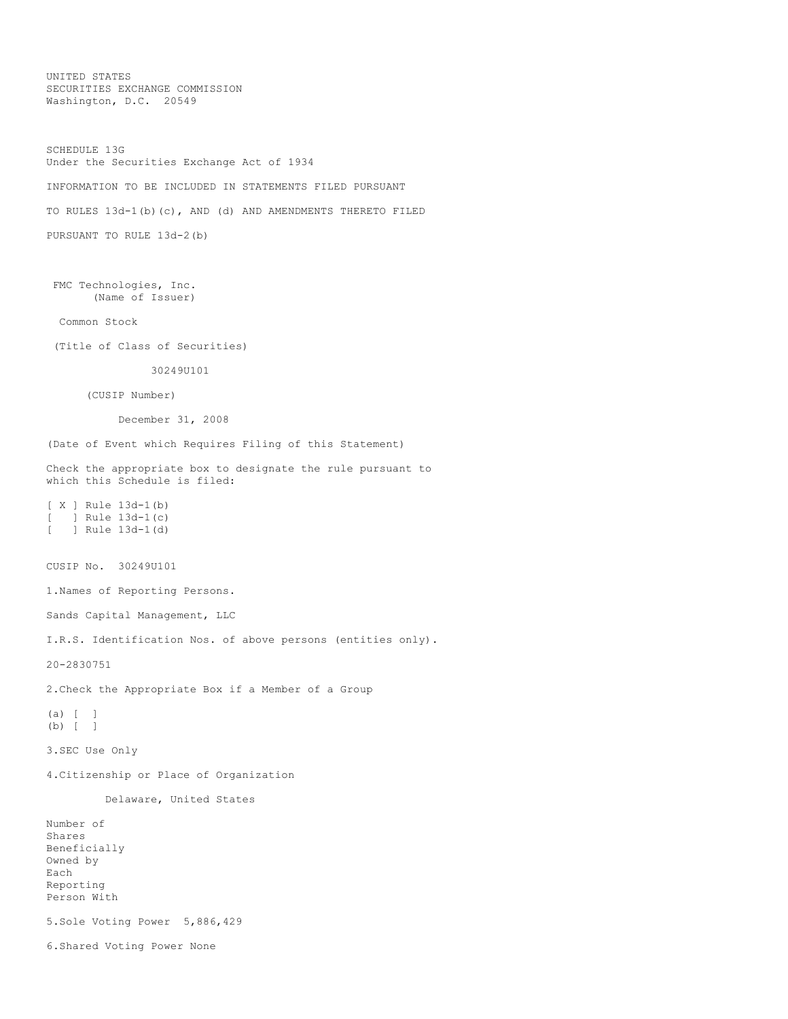UNITED STATES SECURITIES EXCHANGE COMMISSION Washington, D.C. 20549

SCHEDULE 13G Under the Securities Exchange Act of 1934 INFORMATION TO BE INCLUDED IN STATEMENTS FILED PURSUANT TO RULES 13d-1(b)(c), AND (d) AND AMENDMENTS THERETO FILED PURSUANT TO RULE 13d-2(b) FMC Technologies, Inc. (Name of Issuer) Common Stock (Title of Class of Securities) 30249U101 (CUSIP Number) December 31, 2008 (Date of Event which Requires Filing of this Statement) Check the appropriate box to designate the rule pursuant to which this Schedule is filed: [ X ] Rule 13d-1(b)  $[$  ] Rule  $13d-1(c)$ <br> $[$  ] Rule  $13d-1(d)$ [ ] Rule 13d-1(d) CUSIP No. 30249U101 1.Names of Reporting Persons. Sands Capital Management, LLC I.R.S. Identification Nos. of above persons (entities only). 20-2830751 2.Check the Appropriate Box if a Member of a Group (a) [ ] (b) [ ] 3.SEC Use Only 4.Citizenship or Place of Organization Delaware, United States Number of Shares Beneficially Owned by Each Reporting Person With 5.Sole Voting Power 5,886,429 6.Shared Voting Power None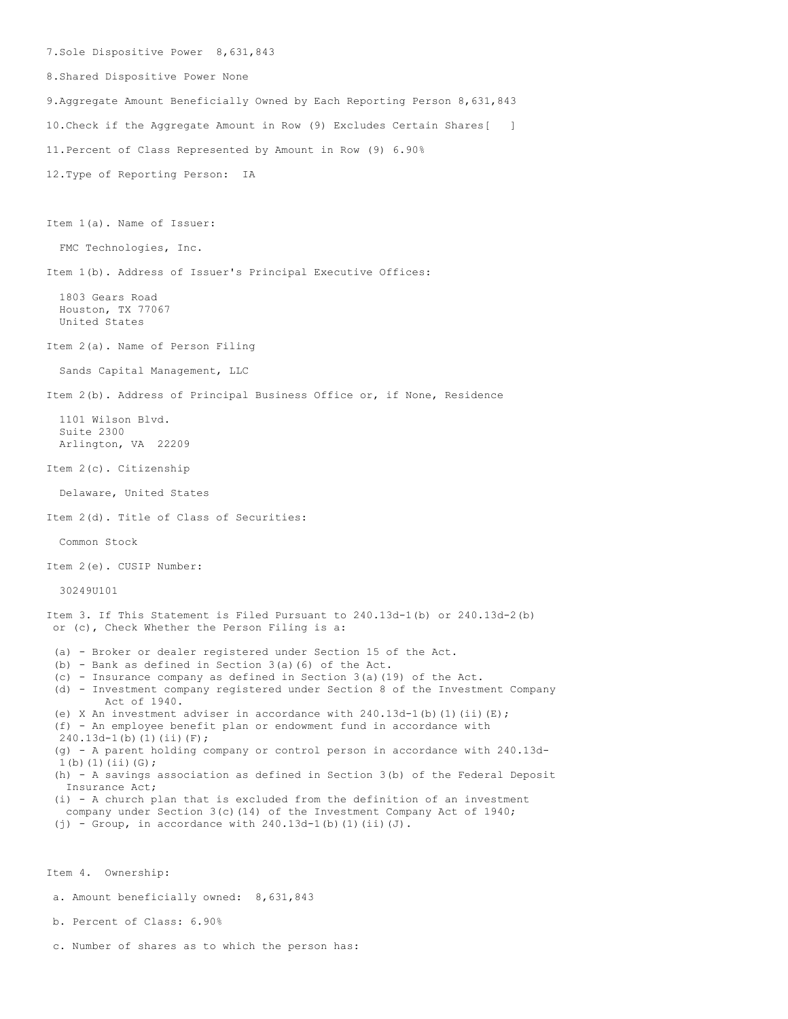7.Sole Dispositive Power 8,631,843 8.Shared Dispositive Power None 9.Aggregate Amount Beneficially Owned by Each Reporting Person 8,631,843 10.Check if the Aggregate Amount in Row (9) Excludes Certain Shares[ ] 11.Percent of Class Represented by Amount in Row (9) 6.90% 12.Type of Reporting Person: IA Item 1(a). Name of Issuer: FMC Technologies, Inc. Item 1(b). Address of Issuer's Principal Executive Offices: 1803 Gears Road Houston, TX 77067 United States Item 2(a). Name of Person Filing Sands Capital Management, LLC Item 2(b). Address of Principal Business Office or, if None, Residence 1101 Wilson Blvd. Suite 2300 Arlington, VA 22209 Item 2(c). Citizenship Delaware, United States Item 2(d). Title of Class of Securities: Common Stock Item 2(e). CUSIP Number: 30249U101 Item 3. If This Statement is Filed Pursuant to 240.13d-1(b) or 240.13d-2(b) or (c), Check Whether the Person Filing is a: (a) - Broker or dealer registered under Section 15 of the Act. (b) - Bank as defined in Section 3(a)(6) of the Act. (c) - Insurance company as defined in Section 3(a)(19) of the Act. (d) - Investment company registered under Section 8 of the Investment Company Act of 1940. (e) X An investment adviser in accordance with  $240.13d-1$  (b) (1) (ii)(E); (f) - An employee benefit plan or endowment fund in accordance with 240.13d-1(b)(1)(ii)(F); (g) - A parent holding company or control person in accordance with 240.13d-1(b)(1)(ii)(G); (h) - A savings association as defined in Section 3(b) of the Federal Deposit Insurance Act; (i) - A church plan that is excluded from the definition of an investment company under Section 3(c)(14) of the Investment Company Act of 1940; (j) - Group, in accordance with  $240.13d-1$ (b)(1)(ii)(J).

Item 4. Ownership:

a. Amount beneficially owned: 8,631,843

b. Percent of Class: 6.90%

c. Number of shares as to which the person has: